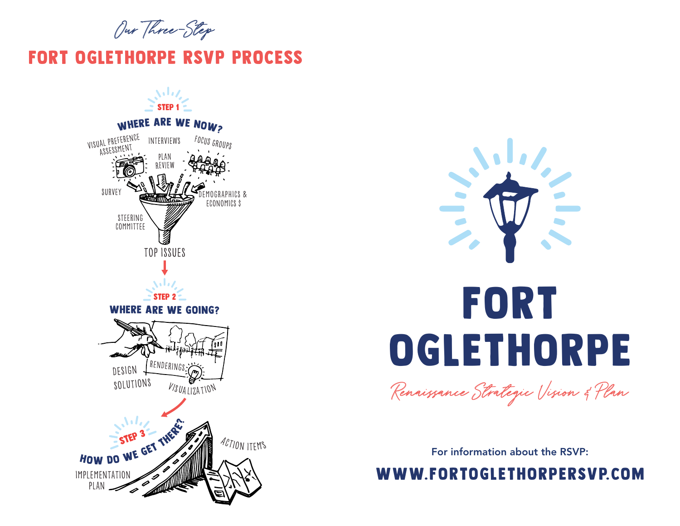Our Three-Step

## fort oglethorpe RSVP PROCESS





Renaissance Strategic Vision & Plan

For information about the RSVP:

www.fortoglethorpersvp.com